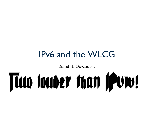#### IPv6 and the WLCG

Alastair Dewhurst

# Tian Ionder than IPv1v!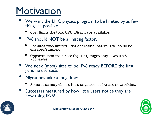## Motivation

- We want the LHC physics program to be limited by as few things as possible.
	- Cost limits the total CPU, Disk, Tape available.
- IPv6 should NOT be a limiting factor.
	- For sites with limited IPv4 addresses, native IPv6 could be cheaper/simpler.
	- Opportunistic resources (eg HPC) might only have IPv6 addresses.
- We need (most) sites to be IPv6 ready BEFORE the first genuine use case.
- Migrations take a long time:
	- Some sites may choose to re-engineer entire site networking.
- Success is measured by how little users notice they are now using IPv6!

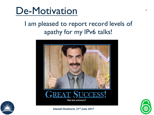

#### I am pleased to report record levels of apathy for my IPv6 talks!







**Alastair Dewhurst, 21st June 2017**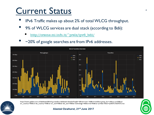#### Current Status

- IPv6 Traffic makes up about 2% of total WLCG throughput.
- 9% of WLCG services are dual stack (according to Bdii):
	- http://orsone.mi.infn.it/~prelz/ipv6\_bdii/
- ~20% of google searches are from IPv6 addresses.



https://monit-grafana.cern.ch/dashboard/db/wlcg-transfers-dashboard-detailed?orgId=1&from=now-14d&to=now&var-group\_by=vo&var-vo=All&varsrc\_country=All&var-dst\_country=All&var-src\_site=All&var-dst\_site=All&var-technology=All&var-bin=6h&var-rp=&var-filters=ipv6%7C%3D%7Ctrue



#### **Alastair Dewhurst, 21st June 2017**

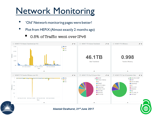#### **Network Monitoring**

- 'Old' Network monitoring pages were better!
- Plot from HEPiX (Almost exactly 2 months ago)
- **Infl. MONIT FTS Volume Transferred (per VO)**  $\mathscr{F}$   $\mathsf{X}$ MONIT FTS Volume Transferred  $\mathscr{F}$   $\mathsf{x}$ **MONIT FTS Efficiency**  $\mathscr{L}$  -  $\mathbb{X}$  $\rightarrow$  atlas 7.3TB  $\bullet$  cms  $\bullet$  lhcb 5.5TB **Jolum**  $3.6TB$ 46.1TB 0.998 **1.8TB Data Transferred Transfer Efficiency**  $0B$ 2017-04-16 00:00 2017-04-18 00:00 2017-04-20 00:00 Time  $\hat{\phantom{a}}$  $\hat{\phantom{a}}$  $\hat{\phantom{a}}$ MONIT FTS Transfer Efficiency (per VO)  $\mathscr{F}$   $\mathsf{x}$ MONIT FTS Top 10 Source Sites  $\mathscr{F}$   $\mathsf{x}$ MONIT FTS Top 10 Destination Sites  $\boldsymbol{r}$  x **O** GLOW OUKI-LT2-IC-HEP  $\bullet$  atlas  $\blacktriangleleft$  $\lambda$  $\overline{\phantom{a}}$ Purdue-Hadoop  $\bullet$  GRIF  $\bullet$  cms  $\bullet$  lhcb  $\bullet$  pic **UKI-LT2-QMUL**  $0.8$ SiGNET  $\bullet$  praguelcg2  $\frac{5}{2}$  0.6 **OUKI-LT2-QMUL**  $\bullet$  pic  $\bullet$  praguelcg2 ● IFIC-LCG2 Efficie ● Taiwan-LCG2  $\bullet$  Nebraska  $0.4$ LRZ-LMU  $\bullet$  ifae  $\bullet$  Nebraska CIT CMS T2  $0.2$ ● IFIC-LCG2 **OLRZ-LMU**  $\sqrt{2}$ 2017-04-15 12:00 2017-04-17 00:00 2017-04-18 12:00 2017-04-20 00:00 Time  $\hat{\phantom{a}}$  $\hat{\phantom{a}}$  $\hat{\phantom{a}}$
- 0.5% of Traffic went over IPv6

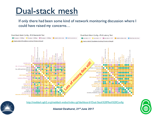#### Dual-stack mesh

If only there had been some kind of network monitoring discussion where I could have raised my concerns…



http://maddash.aglt2.org/maddash-webui/index.cgi?dashboard=Dual-Stack%20Mesh%20Config





**Alastair Dewhurst, 21st June 2017**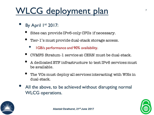#### WLCG deployment plan

- By April 1st 2017:
	- Sites can provide IPv6-only CPUs if necessary.
	- Tier-1's must provide dual-stack storage access.
		- 1GB/s performance and 90% availability.
	- CVMFS Stratum-1 service at CERN must be dual-stack.
	- A dedicated ETF infrastructure to test IPv6 services must be available.
	- The VOs must deploy all services interacting with WNs in dual-stack.
- All the above, to be achieved without disrupting normal WLCG operations.



7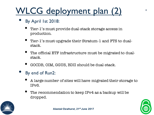### WLCG deployment plan (2)

- By April 1st 2018:
	- Tier-1's must provide dual-stack storage access in production.
	- Tier-1's must upgrade their Stratum-1 and FTS to dualstack.
	- The official ETF infrastructure must be migrated to dualstack.
	- GOCDB, OIM, GGUS, BDII should be dual-stack.
- By end of Run2:
	- A large number of sites will have migrated their storage to IPv6.
	- The recommendation to keep IPv4 as a backup will be dropped.

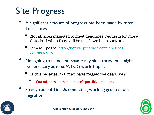#### Site Progress

- A significant amount of progress has been made by most Tier 1 sites.
	- Not all sites managed to meet deadlines, requests for more details of when they will be met have been sent out.
	- Please Update: http://hepix-ipv6.web.cern.ch/sitesconnectivity
- Not going to name and shame any sites today, but might be necessary at next WLCG workshop…
	- Is this because RAL may have missed the deadline?
		- You might think that, I couldn't possibly comment.
- Steady rate of Tier-2s contacting working group about migration!

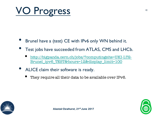

- Brunel have a (test) CE with IPv6 only WN behind it.
- Test jobs have succeeded from ATLAS, CMS and LHCb.
	- http://bigpanda.cern.ch/jobs/?computingsite=UKI-LT2- Brunel\_ipv6\_TEST&hours=12&display\_limit=100
- ALICE claim their software is ready.
	- They require all their data to be available over IPv6.



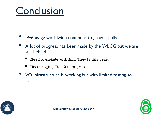# Conclusion

- IPv6 usage worldwide continues to grow rapidly.
- A lot of progress has been made by the WLCG but we are still behind.
	- Need to engage with ALL Tier-1s this year.
	- Encouraging Tier-2 to migrate.
- VO infrastructure is working but with limited testing so far.



11